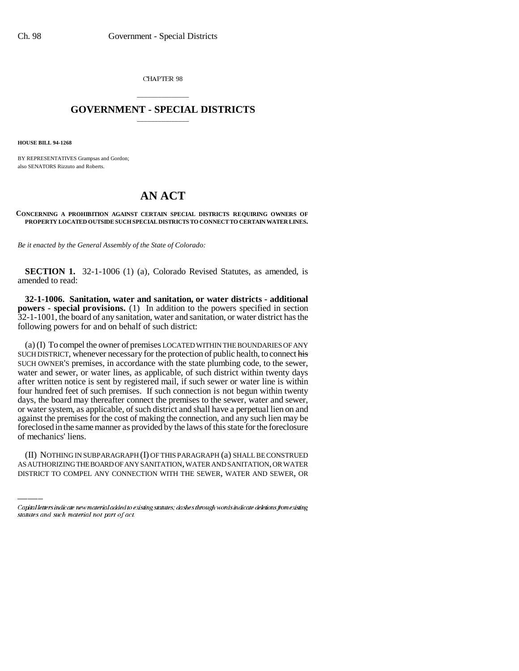CHAPTER 98

## \_\_\_\_\_\_\_\_\_\_\_\_\_\_\_ **GOVERNMENT - SPECIAL DISTRICTS** \_\_\_\_\_\_\_\_\_\_\_\_\_\_\_

**HOUSE BILL 94-1268**

BY REPRESENTATIVES Grampsas and Gordon; also SENATORS Rizzuto and Roberts.

## **AN ACT**

## **CONCERNING A PROHIBITION AGAINST CERTAIN SPECIAL DISTRICTS REQUIRING OWNERS OF PROPERTY LOCATED OUTSIDE SUCH SPECIAL DISTRICTS TO CONNECT TO CERTAIN WATER LINES.**

*Be it enacted by the General Assembly of the State of Colorado:*

**SECTION 1.** 32-1-1006 (1) (a), Colorado Revised Statutes, as amended, is amended to read:

**32-1-1006. Sanitation, water and sanitation, or water districts - additional powers - special provisions.** (1) In addition to the powers specified in section 32-1-1001, the board of any sanitation, water and sanitation, or water district has the following powers for and on behalf of such district:

of mechanics' liens. (a) (I) To compel the owner of premises LOCATED WITHIN THE BOUNDARIES OF ANY SUCH DISTRICT, whenever necessary for the protection of public health, to connect his SUCH OWNER'S premises, in accordance with the state plumbing code, to the sewer, water and sewer, or water lines, as applicable, of such district within twenty days after written notice is sent by registered mail, if such sewer or water line is within four hundred feet of such premises. If such connection is not begun within twenty days, the board may thereafter connect the premises to the sewer, water and sewer, or water system, as applicable, of such district and shall have a perpetual lien on and against the premises for the cost of making the connection, and any such lien may be foreclosed in the same manner as provided by the laws of this state for the foreclosure

(II) NOTHING IN SUBPARAGRAPH (I) OF THIS PARAGRAPH (a) SHALL BE CONSTRUED AS AUTHORIZING THE BOARD OF ANY SANITATION, WATER AND SANITATION, OR WATER DISTRICT TO COMPEL ANY CONNECTION WITH THE SEWER, WATER AND SEWER, OR

Capital letters indicate new material added to existing statutes; dashes through words indicate deletions from existing statutes and such material not part of act.